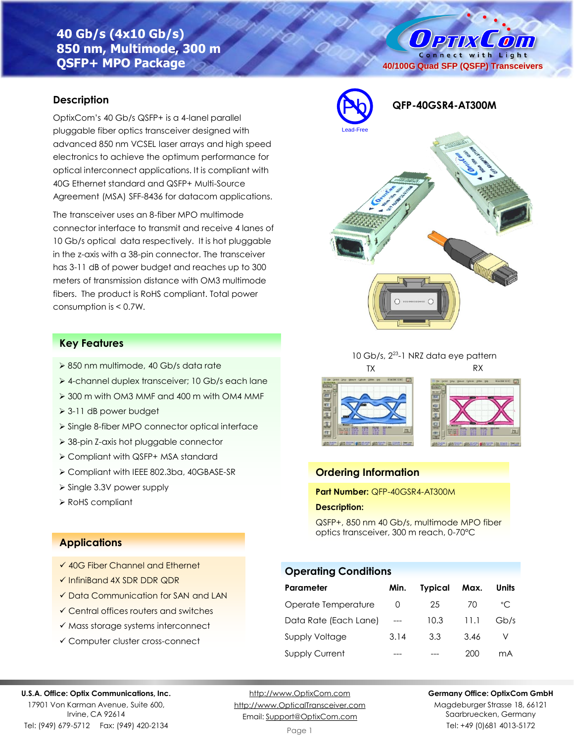# **40 Gb/s (4x10 Gb/s) 850 nm, Multimode, 300 m QSFP+ MPO Package**

## **Description**

OptixCom's 40 Gb/s QSFP+ is a 4-lanel parallel pluggable fiber optics transceiver designed with advanced 850 nm VCSEL laser arrays and high speed electronics to achieve the optimum performance for optical interconnect applications. It is compliant with 40G Ethernet standard and QSFP+ Multi-Source Agreement (MSA) SFF-8436 for datacom applications.

The transceiver uses an 8-fiber MPO multimode connector interface to transmit and receive 4 lanes of 10 Gb/s optical data respectively. It is hot pluggable in the z-axis with a 38-pin connector. The transceiver has 3-11 dB of power budget and reaches up to 300 meters of transmission distance with OM3 multimode fibers. The product is RoHS compliant. Total power consumption is < 0.7W.

## **Key Features**

- ➢ 850 nm multimode, 40 Gb/s data rate
- ➢ 4-channel duplex transceiver; 10 Gb/s each lane
- ➢ 300 m with OM3 MMF and 400 m with OM4 MMF
- ➢ 3-11 dB power budget
- ➢ Single 8-fiber MPO connector optical interface
- ➢ 38-pin Z-axis hot pluggable connector
- ➢ Compliant with QSFP+ MSA standard
- ➢ Compliant with IEEE 802.3ba, 40GBASE-SR
- ➢ Single 3.3V power supply
- ➢ RoHS compliant

## **Applications**

- ✓ 40G Fiber Channel and Ethernet
- ✓ InfiniBand 4X SDR DDR QDR
- ✓ Data Communication for SAN and LAN
- ✓ Central offices routers and switches
- ✓ Mass storage systems interconnect
- ✓ Computer cluster cross-connect

# **40/100G Quad SFP (QSFP) Transceivers**

O PTIX COM Connect with Light



## 10 Gb/s, 2<sup>23</sup>-1 NRZ data eye pattern TX RX





#### **Ordering Information**

## **Part Number:** QFP-40GSR4-AT300M

#### **Description:**

QSFP+, 850 nm 40 Gb/s, multimode MPO fiber optics transceiver, 300 m reach, 0-70°C

## **Operating Conditions**

| Parameter             | Min. | Typical | Max. | Units        |
|-----------------------|------|---------|------|--------------|
| Operate Temperature   | O    | 25      | 70   | $^{\circ}$ C |
| Data Rate (Each Lane) |      | 10.3    | 11.1 | Gb/s         |
| <b>Supply Voltage</b> | 3.14 | 3.3     | 3.46 |              |
| <b>Supply Current</b> |      |         | 200  | mA           |

#### **U.S.A. Office: Optix Communications, Inc.**

17901 Von Karman Avenue, Suite 600, Irvine, CA 92614 Tel: (949) 679-5712 Fax: (949) 420-2134

[http://www.OptixCom.com](http://www.optixcom.com/) [http://www.OpticalTransceiver.com](http://www.optoictech.com/) Email: [Support@OptixCom.com](mailto:Support@optoICtech.com)

#### **Germany Office: OptixCom GmbH**

Magdeburger Strasse 18, 66121 Saarbruecken, Germany Tel: +49 (0)681 4013-5172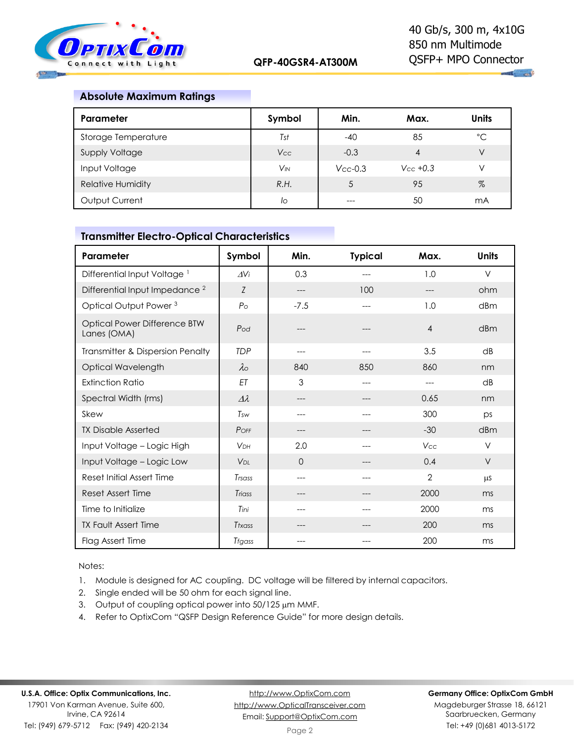

 $\mathbf{u}_1$  and

## **Absolute Maximum Ratings**

| Parameter                | Symbol                | Min.          | Max.          | <b>Units</b> |
|--------------------------|-----------------------|---------------|---------------|--------------|
| Storage Temperature      | Tst                   | $-40$         | 85            | $^{\circ}C$  |
| Supply Voltage           | <b>Vcc</b>            | $-0.3$        | 4             | V            |
| Input Voltage            | <b>V<sub>IN</sub></b> | $V_{CC}$ -0.3 | $V_{CC}$ +0.3 | V            |
| <b>Relative Humidity</b> | R.H.                  |               | 95            | $\%$         |
| Output Current           | lo                    |               | 50            | mA           |

## **Transmitter Electro-Optical Characteristics**

| Parameter                                   | Symbol                | Min.     | <b>Typical</b> | Max.           | <b>Units</b>    |
|---------------------------------------------|-----------------------|----------|----------------|----------------|-----------------|
| Differential Input Voltage <sup>1</sup>     | $\Delta V$ i          | 0.3      | ---            | 1.0            | $\vee$          |
| Differential Input Impedance <sup>2</sup>   | Z                     | ---      | 100            |                | ohm             |
| Optical Output Power <sup>3</sup>           | $P_{\rm O}$           | $-7.5$   | ---            | 1.0            | dBm             |
| Optical Power Difference BTW<br>Lanes (OMA) | Pod                   |          |                | $\overline{4}$ | dBm             |
| Transmitter & Dispersion Penalty            | <b>TDP</b>            | ---      | ---            | 3.5            | $\overline{AB}$ |
| Optical Wavelength                          | $\lambda_{\rm O}$     | 840      | 850            | 860            | nm              |
| <b>Extinction Ratio</b>                     | ET                    | 3        | ---            | ---            | dB              |
| Spectral Width (rms)                        | $\Delta \lambda$      | ---      | ---            | 0.65           | nm              |
| Skew                                        | Tsw                   | ---      | ---            | 300            | ps              |
| <b>TX Disable Asserted</b>                  | POFF                  | ---      |                | $-30$          | dBm             |
| Input Voltage - Logic High                  | <b>V<sub>DH</sub></b> | 2.0      |                | Vcc            | V               |
| Input Voltage - Logic Low                   | <b>V<sub>DL</sub></b> | $\Omega$ |                | 0.4            | $\vee$          |
| Reset Initial Assert Time                   | Trsass                | ---      | ---            | $\overline{2}$ | μS              |
| Reset Assert Time                           | Triass                | ---      | ---            | 2000           | ms              |
| Time to Initialize                          | Tini                  | ---      |                | 2000           | ms              |
| <b>TX Fault Assert Time</b>                 | Ttxass                |          |                | 200            | ms              |
| Flag Assert Time                            | Trgass                |          |                | 200            | ms              |

Notes:

1. Module is designed for AC coupling. DC voltage will be filtered by internal capacitors.

- 2. Single ended will be 50 ohm for each signal line.
- 3. Output of coupling optical power into 50/125 µm MMF.
- 4. Refer to OptixCom "QSFP Design Reference Guide" for more design details.